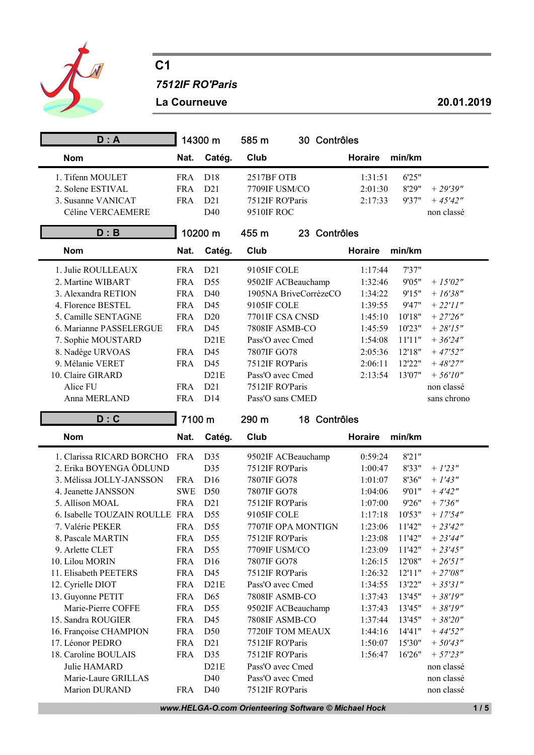

## C1

7512IF RO'Paris

La Courneuve 20.01.2019

| D: A                                 |            | 14300 m         | 585 m<br>30 Contrôles               |         |        |                          |
|--------------------------------------|------------|-----------------|-------------------------------------|---------|--------|--------------------------|
| <b>Nom</b>                           | Nat.       | Catég.          | Club                                | Horaire | min/km |                          |
| 1. Tifenn MOULET                     | <b>FRA</b> | D18             | 2517BF OTB                          | 1:31:51 | 6'25"  |                          |
| 2. Solene ESTIVAL                    | <b>FRA</b> | D21             | 7709IF USM/CO                       | 2:01:30 | 8'29"  | $+29'39''$               |
| 3. Susanne VANICAT                   | <b>FRA</b> | D21             | 7512IF RO'Paris                     | 2:17:33 | 9'37"  | $+45'42''$               |
| Céline VERCAEMERE                    |            | D40             | 9510IF ROC                          |         |        | non classé               |
| D : B                                |            | 10200 m         | 455 m<br>23 Contrôles               |         |        |                          |
| <b>Nom</b>                           | Nat.       | Catég.          | Club                                | Horaire | min/km |                          |
| 1. Julie ROULLEAUX                   | <b>FRA</b> | D21             | 9105IF COLE                         | 1:17:44 | 7'37'' |                          |
| 2. Martine WIBART                    | <b>FRA</b> | D55             | 9502IF ACBeauchamp                  | 1:32:46 | 9'05"  | $+15'02''$               |
| 3. Alexandra RETION                  | <b>FRA</b> | D <sub>40</sub> | 1905NA BriveCorrèzeCO               | 1:34:22 | 9'15"  | $+ 16'38''$              |
| 4. Florence BESTEL                   | <b>FRA</b> | D45             | 9105IF COLE                         | 1:39:55 | 9'47"  | $+ 22'11''$              |
| 5. Camille SENTAGNE                  | <b>FRA</b> | D20             | 7701IF CSA CNSD                     | 1:45:10 | 10'18" | $+27'26''$               |
| 6. Marianne PASSELERGUE              | <b>FRA</b> | D45             | 7808IF ASMB-CO                      | 1:45:59 | 10'23" | $+ 28'15''$              |
| 7. Sophie MOUSTARD                   |            | D21E            | Pass'O avec Cmed                    | 1:54:08 | 11'11" | $+36'24''$               |
| 8. Nadège URVOAS                     | <b>FRA</b> | D45             | 7807IF GO78                         | 2:05:36 | 12'18" | $+47'52''$               |
| 9. Mélanie VERET                     | <b>FRA</b> | D45             | 7512IF RO'Paris                     | 2:06:11 | 12'22" | $+48'27''$               |
| 10. Claire GIRARD                    |            | D21E            | Pass'O avec Cmed                    | 2:13:54 | 13'07" | $+ 56'10''$              |
| Alice FU                             | <b>FRA</b> | D21             | 7512IF RO'Paris                     |         |        | non classé               |
| Anna MERLAND                         | <b>FRA</b> | D14             | Pass'O sans CMED                    |         |        | sans chrono              |
| D: C                                 | 7100 m     |                 | 290 m<br>18 Contrôles               |         |        |                          |
|                                      |            |                 |                                     |         |        |                          |
| <b>Nom</b>                           | Nat.       | Catég.          | Club                                | Horaire | min/km |                          |
| 1. Clarissa RICARD BORCHO            | <b>FRA</b> | D35             | 9502IF ACBeauchamp                  | 0:59:24 | 8'21"  |                          |
| 2. Erika BOYENGA ÖDLUND              |            | D35             | 7512IF RO'Paris                     | 1:00:47 | 8'33"  | $+1'23''$                |
| 3. Mélissa JOLLY-JANSSON             | <b>FRA</b> | D16             | 7807IF GO78                         | 1:01:07 | 8'36"  | $+ 1'43''$               |
| 4. Jeanette JANSSON                  | <b>SWE</b> | D <sub>50</sub> | 7807IF GO78                         | 1:04:06 | 9'01"  | $+4'42''$                |
| 5. Allison MOAL                      | <b>FRA</b> | D21             | 7512IF RO'Paris                     | 1:07:00 | 9'26"  | $+7'36''$                |
| 6. Isabelle TOUZAIN ROULLE FRA       |            | D55             | 9105IF COLE                         | 1:17:18 | 10'53" | $+17'54''$               |
| 7. Valérie PEKER                     | <b>FRA</b> | D55             | 7707IF OPA MONTIGN                  | 1:23:06 | 11'42" | $+ 23'42''$              |
| 8. Pascale MARTIN                    | <b>FRA</b> | D55             | 7512IF RO'Paris                     | 1:23:08 | 11'42" | $+ 23'44''$              |
| 9. Arlette CLET                      | <b>FRA</b> | D55             | 7709IF USM/CO                       | 1:23:09 | 11'42" | $+ 23'45''$              |
| 10. Lilou MORIN                      | <b>FRA</b> | D16             | 7807IF GO78                         | 1:26:15 | 12'08" | $+ 26' 51''$             |
| 11. Elisabeth PEETERS                | <b>FRA</b> | D45             | 7512IF RO'Paris                     | 1:26:32 | 12'11" | $+ 27'08''$              |
| 12. Cyrielle DIOT                    | <b>FRA</b> | D21E            | Pass'O avec Cmed                    | 1:34:55 | 13'22" | $+35'31''$               |
| 13. Guyonne PETIT                    | <b>FRA</b> | D65             | 7808IF ASMB-CO                      | 1:37:43 | 13'45" | $+38'19''$               |
| Marie-Pierre COFFE                   | <b>FRA</b> | D55             | 9502IF ACBeauchamp                  | 1:37:43 | 13'45" | $+38'19''$               |
| 15. Sandra ROUGIER                   | <b>FRA</b> | D45             | 7808IF ASMB-CO                      | 1:37:44 | 13'45" | $+38'20''$               |
| 16. Françoise CHAMPION               | <b>FRA</b> | D <sub>50</sub> | 7720IF TOM MEAUX                    | 1:44:16 | 14'41" | $+44'52''$               |
| 17. Léonor PEDRO                     | <b>FRA</b> | D21             | 7512IF RO'Paris                     | 1:50:07 | 15'30" | $+50'43''$               |
| 18. Caroline BOULAIS                 | <b>FRA</b> | D35             | 7512IF RO'Paris                     | 1:56:47 | 16'26" | $+ 57'23''$              |
| Julie HAMARD                         |            | D21E            | Pass'O avec Cmed                    |         |        | non classé               |
| Marie-Laure GRILLAS<br>Marion DURAND | <b>FRA</b> | D40<br>D40      | Pass'O avec Cmed<br>7512IF RO'Paris |         |        | non classé<br>non classé |

www.HELGA-O.com Orienteering Software © Michael Hock 1 / 5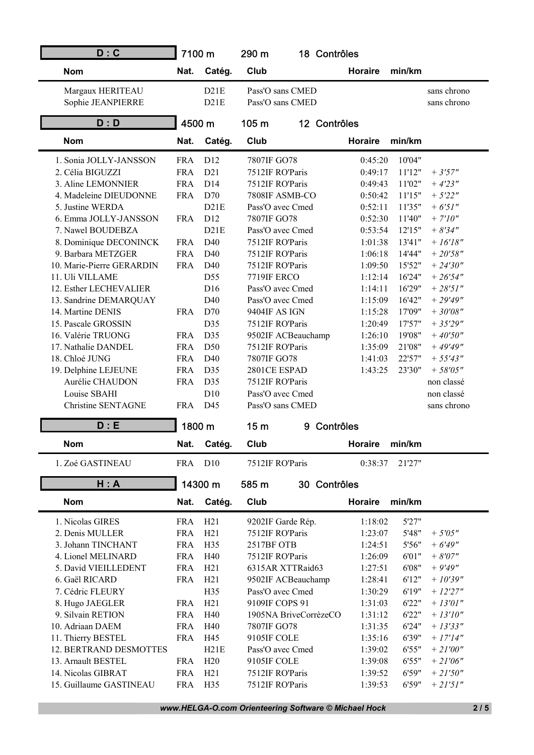| D: C                                    | 7100 m                   |                        | 290 m                           |   | 18 Contrôles |         |                  |                           |
|-----------------------------------------|--------------------------|------------------------|---------------------------------|---|--------------|---------|------------------|---------------------------|
| <b>Nom</b>                              | Nat.                     | Catég.                 | Club                            |   |              | Horaire | min/km           |                           |
| Margaux HERITEAU                        |                          | D21E                   | Pass'O sans CMED                |   |              |         |                  | sans chrono               |
| Sophie JEANPIERRE                       |                          | D21E                   | Pass'O sans CMED                |   |              |         |                  | sans chrono               |
| D: D                                    | 4500 m                   |                        | 105 m                           |   | 12 Contrôles |         |                  |                           |
| <b>Nom</b>                              | Nat.                     | Catég.                 | Club                            |   |              | Horaire | min/km           |                           |
| 1. Sonia JOLLY-JANSSON                  | <b>FRA</b>               | D12                    | 7807IF GO78                     |   |              | 0:45:20 | 10'04"           |                           |
| 2. Célia BIGUZZI                        | <b>FRA</b>               | D21                    | 7512IF RO'Paris                 |   |              | 0:49:17 | 11'12"           | $+3'57''$                 |
| 3. Aline LEMONNIER                      | <b>FRA</b>               | D14                    | 7512IF RO'Paris                 |   |              | 0:49:43 | 11'02"           | $+4'23''$                 |
| 4. Madeleine DIEUDONNE                  | <b>FRA</b>               | D70                    | 7808IF ASMB-CO                  |   |              | 0:50:42 | 11'15"           | $+ 5'22''$                |
| 5. Justine WERDA                        |                          | D21E                   | Pass'O avec Cmed                |   |              | 0:52:11 | 11'35"           | $+ 6'51''$                |
| 6. Emma JOLLY-JANSSON                   | <b>FRA</b>               | D12                    | 7807IF GO78                     |   |              | 0:52:30 | 11'40"           | $+ 7'10''$                |
| 7. Nawel BOUDEBZA                       |                          | D21E                   | Pass'O avec Cmed                |   |              | 0:53:54 | 12'15"           | $+8'34"$                  |
| 8. Dominique DECONINCK                  | <b>FRA</b>               | D40                    | 7512IF RO'Paris                 |   |              | 1:01:38 | 13'41"           | $+ 16'18''$               |
| 9. Barbara METZGER                      | <b>FRA</b>               | D40                    | 7512IF RO'Paris                 |   |              | 1:06:18 | 14'44"           | $+ 20'58''$               |
| 10. Marie-Pierre GERARDIN               | <b>FRA</b>               | D40                    | 7512IF RO'Paris                 |   |              | 1:09:50 | 15'52"           | $+ 24'30''$               |
| 11. Uli VILLAME                         |                          | D55                    | 7719IF ERCO                     |   |              | 1:12:14 | 16'24"           | $+ 26'54''$               |
| 12. Esther LECHEVALIER                  |                          | D16                    | Pass'O avec Cmed                |   |              | 1:14:11 | 16'29"           | $+ 28' 51''$              |
| 13. Sandrine DEMARQUAY                  |                          | D40                    | Pass'O avec Cmed                |   |              | 1:15:09 | 16'42"           | $+29'49''$                |
| 14. Martine DENIS                       | <b>FRA</b>               | D70                    | 9404IF AS IGN                   |   |              | 1:15:28 | 17'09"           | $+30'08''$                |
| 15. Pascale GROSSIN                     |                          | D35                    | 7512IF RO'Paris                 |   |              | 1:20:49 | 17'57"           | $+35'29''$                |
| 16. Valérie TRUONG                      | <b>FRA</b>               | D35                    | 9502IF ACBeauchamp              |   |              | 1:26:10 | 19'08"           | $+40'50''$                |
| 17. Nathalie DANDEL                     | <b>FRA</b>               | D50                    | 7512IF RO'Paris                 |   |              | 1:35:09 | 21'08"           | $+49'49''$                |
| 18. Chloé JUNG                          | <b>FRA</b>               | D <sub>40</sub><br>D35 | 7807IF GO78                     |   |              | 1:41:03 | 22'57"<br>23'30" | $+ 55'43''$               |
| 19. Delphine LEJEUNE<br>Aurélie CHAUDON | <b>FRA</b><br><b>FRA</b> | D35                    | 2801CE ESPAD<br>7512IF RO'Paris |   |              | 1:43:25 |                  | $+ 58'05''$<br>non classé |
| Louise SBAHI                            |                          | D10                    | Pass'O avec Cmed                |   |              |         |                  | non classé                |
| <b>Christine SENTAGNE</b>               | <b>FRA</b>               | D45                    | Pass'O sans CMED                |   |              |         |                  | sans chrono               |
|                                         |                          |                        |                                 |   |              |         |                  |                           |
| D : E                                   | 1800 m                   |                        | 15 <sub>m</sub>                 | 9 | Contrôles    |         |                  |                           |
| <b>Nom</b>                              | Nat.                     | Catég.                 | Club                            |   |              | Horaire | min/km           |                           |
| 1. Zoé GASTINEAU                        | <b>FRA</b>               | D10                    | 7512IF RO'Paris                 |   |              | 0:38:37 | 21'27"           |                           |
| H: A                                    |                          | 14300 m                | 585 m                           |   | 30 Contrôles |         |                  |                           |
| <b>Nom</b>                              | Nat.                     | Catég.                 | Club                            |   |              | Horaire | min/km           |                           |
| 1. Nicolas GIRES                        | <b>FRA</b>               | H21                    | 9202IF Garde Rép.               |   |              | 1:18:02 | 5'27"            |                           |
| 2. Denis MULLER                         | <b>FRA</b>               | H21                    | 7512IF RO'Paris                 |   |              | 1:23:07 | 5'48"            | $+5'05''$                 |
| 3. Johann TINCHANT                      | <b>FRA</b>               | H35                    | 2517BF OTB                      |   |              | 1:24:51 | 5'56"            | $+6'49''$                 |
| 4. Lionel MELINARD                      | <b>FRA</b>               | H40                    | 7512IF RO'Paris                 |   |              | 1:26:09 | 6'01"            | $+8'07''$                 |
| 5. David VIEILLEDENT                    | <b>FRA</b>               | H21                    | 6315AR XTTRaid63                |   |              | 1:27:51 | 6'08"            | $+9'49''$                 |
| 6. Gaël RICARD                          | <b>FRA</b>               | H21                    | 9502IF ACBeauchamp              |   |              | 1:28:41 | 6'12"            | $+10'39''$                |
| 7. Cédric FLEURY                        |                          | H35                    | Pass'O avec Cmed                |   |              | 1:30:29 | 6'19"            | $+ 12'27''$               |
| 8. Hugo JAEGLER                         | <b>FRA</b>               | H21                    | 9109IF COPS 91                  |   |              | 1:31:03 | 6'22"            | $+ 13'01''$               |
| 9. Silvain RETION                       | <b>FRA</b>               | H40                    | 1905NA BriveCorrèzeCO           |   |              | 1:31:12 | 6'22"            | $+ 13'10''$               |
| 10. Adriaan DAEM                        | <b>FRA</b>               | H40                    | 7807IF GO78                     |   |              | 1:31:35 | 6'24"            | $+ 13'33''$               |
| 11. Thierry BESTEL                      | <b>FRA</b>               | H45                    | 9105IF COLE                     |   |              | 1:35:16 | 6'39"            | $+ 17'14''$               |
| 12. BERTRAND DESMOTTES                  |                          | H21E                   | Pass'O avec Cmed                |   |              | 1:39:02 | 6'55"            | $+ 21'00''$               |
| 13. Arnault BESTEL                      | <b>FRA</b>               | H20                    | 9105IF COLE                     |   |              | 1:39:08 | 6'55"            | $+ 21'06''$               |
| 14. Nicolas GIBRAT                      | <b>FRA</b>               | H21                    | 7512IF RO'Paris                 |   |              | 1:39:52 | 6'59"            | $+ 21'50''$               |
| 15. Guillaume GASTINEAU                 | <b>FRA</b>               | H35                    | 7512IF RO'Paris                 |   |              | 1:39:53 | 6'59"            | $+ 21'51''$               |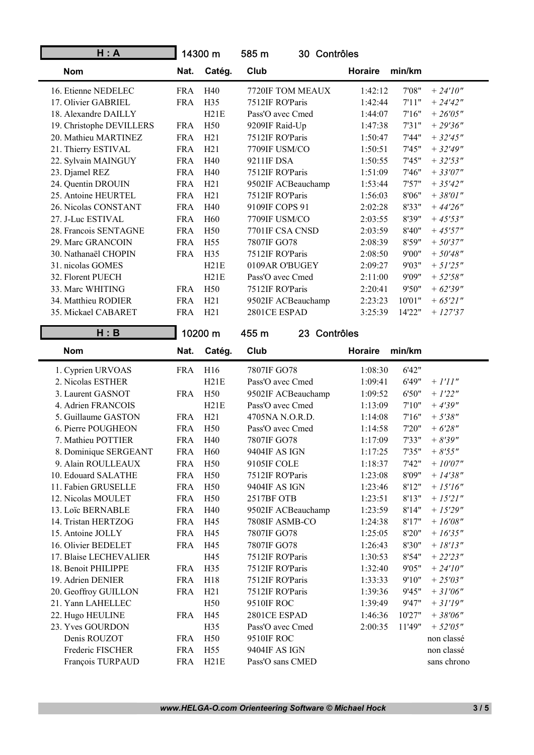| H: A                     |            | 14300 m         | 585 m              | 30 Contrôles                     |
|--------------------------|------------|-----------------|--------------------|----------------------------------|
| <b>Nom</b>               | Nat.       | Catég.          | Club               | Horaire<br>min/km                |
| 16. Etienne NEDELEC      | <b>FRA</b> | H40             | 7720IF TOM MEAUX   | 7'08"<br>1:42:12<br>$+ 24'10''$  |
| 17. Olivier GABRIEL      | <b>FRA</b> | H <sub>35</sub> | 7512IF RO'Paris    | 1:42:44<br>7'11"<br>$+ 24'42''$  |
| 18. Alexandre DAILLY     |            | H21E            | Pass'O avec Cmed   | 1:44:07<br>7'16''<br>$+ 26'05''$ |
| 19. Christophe DEVILLERS | <b>FRA</b> | H <sub>50</sub> | 9209IF Raid-Up     | 7'31"<br>$+29'36''$<br>1:47:38   |
| 20. Mathieu MARTINEZ     | <b>FRA</b> | H21             | 7512IF RO'Paris    | 1:50:47<br>7'44"<br>$+32'45''$   |
| 21. Thierry ESTIVAL      | <b>FRA</b> | H21             | 7709IF USM/CO      | 7'45"<br>$+32'49''$<br>1:50:51   |
| 22. Sylvain MAINGUY      | <b>FRA</b> | H40             | 9211IF DSA         | 7'45"<br>$+32'53''$<br>1:50:55   |
| 23. Djamel REZ           | <b>FRA</b> | H40             | 7512IF RO'Paris    | 1:51:09<br>7'46"<br>$+33'07''$   |
| 24. Quentin DROUIN       | <b>FRA</b> | H21             | 9502IF ACBeauchamp | 7'57''<br>1:53:44<br>$+35'42''$  |
| 25. Antoine HEURTEL      | <b>FRA</b> | H21             | 7512IF RO'Paris    | 1:56:03<br>8'06"<br>$+38'01''$   |
| 26. Nicolas CONSTANT     | <b>FRA</b> | H40             | 9109IF COPS 91     | 8'33"<br>2:02:28<br>$+44'26''$   |
| 27. J-Luc ESTIVAL        | <b>FRA</b> | H <sub>60</sub> | 7709IF USM/CO      | 8'39"<br>2:03:55<br>$+ 45'53''$  |
| 28. Francois SENTAGNE    | <b>FRA</b> | H <sub>50</sub> | 7701IF CSA CNSD    | 2:03:59<br>8'40"<br>$+45'57''$   |
| 29. Marc GRANCOIN        | <b>FRA</b> | H <sub>55</sub> | 7807IF GO78        | 2:08:39<br>8'59"<br>$+ 50'37''$  |
| 30. Nathanaël CHOPIN     | <b>FRA</b> | H <sub>35</sub> | 7512IF RO'Paris    | 9'00"<br>2:08:50<br>$+50'48''$   |
| 31. nicolas GOMES        |            | H21E            | 0109AR O'BUGEY     | 9'03"<br>$+ 51'25''$<br>2:09:27  |
| 32. Florent PUECH        |            | H21E            | Pass'O avec Cmed   | 2:11:00<br>9'09"<br>$+ 52'58''$  |
| 33. Marc WHITING         | <b>FRA</b> | H <sub>50</sub> | 7512IF RO'Paris    | 2:20:41<br>9'50"<br>$+ 62'39''$  |
| 34. Matthieu RODIER      | <b>FRA</b> | H21             | 9502IF ACBeauchamp | 2:23:23<br>10'01"<br>$+ 65'21''$ |
| 35. Mickael CABARET      | <b>FRA</b> | H21             | 2801CE ESPAD       | 3:25:39<br>14'22"<br>$+ 127'37$  |

| H : B                  |            | 10200 m         | 455 m<br>23 Contrôles |         |        |                                    |
|------------------------|------------|-----------------|-----------------------|---------|--------|------------------------------------|
| <b>Nom</b>             | Nat.       | Catég.          | Club                  | Horaire | min/km |                                    |
| 1. Cyprien URVOAS      | <b>FRA</b> | H16             | 7807IF GO78           | 1:08:30 | 6'42"  |                                    |
| 2. Nicolas ESTHER      |            | H21E            | Pass'O avec Cmed      | 1:09:41 | 6'49"  | $+ I'II''$                         |
| 3. Laurent GASNOT      | <b>FRA</b> | H <sub>50</sub> | 9502IF ACBeauchamp    | 1:09:52 | 6'50"  | $+ 1'22''$                         |
| 4. Adrien FRANCOIS     |            | H21E            | Pass'O avec Cmed      | 1:13:09 | 7'10'' | $+4'39''$                          |
| 5. Guillaume GASTON    | <b>FRA</b> | H21             | 4705NA N.O.R.D.       | 1:14:08 | 7'16'' | $+ 5'38''$                         |
| 6. Pierre POUGHEON     | <b>FRA</b> | H50             | Pass'O avec Cmed      | 1:14:58 | 7'20"  | $+ 6'28''$                         |
| 7. Mathieu POTTIER     | <b>FRA</b> | H40             | 7807IF GO78           | 1:17:09 | 7'33"  | $+8'39''$                          |
| 8. Dominique SERGEANT  | <b>FRA</b> | H <sub>60</sub> | 9404IF AS IGN         | 1:17:25 | 7'35"  | $+8'55"$                           |
| 9. Alain ROULLEAUX     | <b>FRA</b> | H50             | 9105IF COLE           | 1:18:37 | 7'42"  | $+10'07''$                         |
| 10. Edouard SALATHE    | <b>FRA</b> | H <sub>50</sub> | 7512IF RO'Paris       | 1:23:08 | 8'09"  | $+ 14'38''$                        |
| 11. Fabien GRUSELLE    | <b>FRA</b> | H <sub>50</sub> | 9404IF AS IGN         | 1:23:46 | 8'12"  | $+ 15'16''$                        |
| 12. Nicolas MOULET     | <b>FRA</b> | H <sub>50</sub> | 2517BF OTB            | 1:23:51 | 8'13"  | $+ 15'21''$                        |
| 13. Loïc BERNABLE      | <b>FRA</b> | H40             | 9502IF ACBeauchamp    | 1:23:59 | 8'14"  | $+15'29''$                         |
| 14. Tristan HERTZOG    | <b>FRA</b> | H45             | 7808IF ASMB-CO        | 1:24:38 | 8'17"  | $+$ $16^{\prime}08^{\prime\prime}$ |
| 15. Antoine JOLLY      | <b>FRA</b> | H45             | 7807IF GO78           | 1:25:05 | 8'20"  | $+ 16'35''$                        |
| 16. Olivier BEDELET    | <b>FRA</b> | H45             | 7807IF GO78           | 1:26:43 | 8'30"  | $+ 18'13''$                        |
| 17. Blaise LECHEVALIER |            | H45             | 7512IF RO'Paris       | 1:30:53 | 8'54"  | $+ 22'23''$                        |
| 18. Benoit PHILIPPE    | <b>FRA</b> | H35             | 7512IF RO'Paris       | 1:32:40 | 9'05"  | $+ 24'10''$                        |
| 19. Adrien DENIER      | <b>FRA</b> | H18             | 7512IF RO'Paris       | 1:33:33 | 9'10"  | $+ 25'03''$                        |
| 20. Geoffroy GUILLON   | <b>FRA</b> | H21             | 7512IF RO'Paris       | 1:39:36 | 9'45"  | $+31'06''$                         |
| 21. Yann LAHELLEC      |            | H50             | 9510IF ROC            | 1:39:49 | 9'47"  | $+31'19''$                         |
| 22. Hugo HEULINE       | <b>FRA</b> | H45             | 2801CE ESPAD          | 1:46:36 | 10'27" | $+38'06''$                         |
| 23. Yves GOURDON       |            | H35             | Pass'O avec Cmed      | 2:00:35 | 11'49" | $+ 52'05''$                        |
| Denis ROUZOT           | <b>FRA</b> | H50             | 9510IF ROC            |         |        | non classé                         |
| Frederic FISCHER       | <b>FRA</b> | H <sub>55</sub> | 9404IF AS IGN         |         |        | non classé                         |
| François TURPAUD       | <b>FRA</b> | H21E            | Pass'O sans CMED      |         |        | sans chrono                        |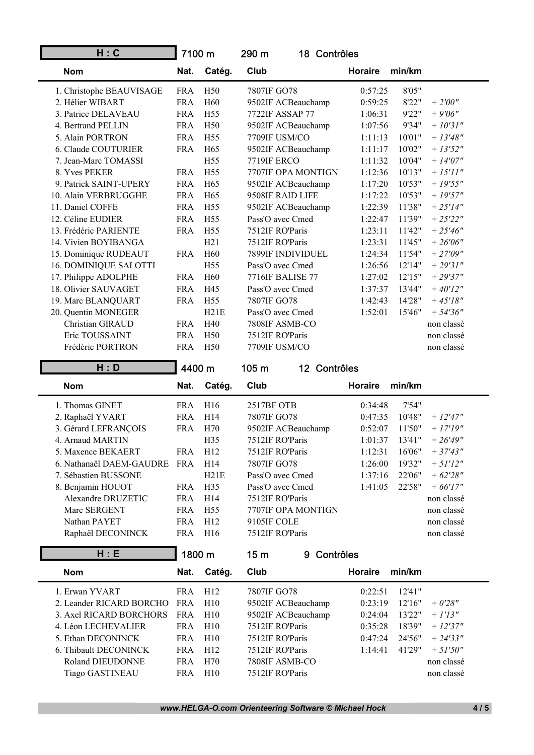| H: C                     | 7100 m     |                 | 290 m       | 18 Contrôles       |                |        |             |
|--------------------------|------------|-----------------|-------------|--------------------|----------------|--------|-------------|
| <b>Nom</b>               | Nat.       | Catég.          | Club        |                    | <b>Horaire</b> | min/km |             |
| 1. Christophe BEAUVISAGE | <b>FRA</b> | H <sub>50</sub> | 7807IF GO78 |                    | 0:57:25        | 8'05"  |             |
| 2. Hélier WIBART         | <b>FRA</b> | H <sub>60</sub> |             | 9502IF ACBeauchamp | 0:59:25        | 8'22"  | $+ 2'00''$  |
| 3. Patrice DELAVEAU      | <b>FRA</b> | H55             |             | 7722IF ASSAP 77    | 1:06:31        | 9'22"  | $+9'06''$   |
| 4. Bertrand PELLIN       | <b>FRA</b> | H50             |             | 9502IF ACBeauchamp | 1:07:56        | 9'34"  | $+ 10'31''$ |
| 5. Alain PORTRON         | <b>FRA</b> | H55             |             | 7709IF USM/CO      | 1:11:13        | 10'01" | $+ 13'48''$ |
| 6. Claude COUTURIER      | <b>FRA</b> | H65             |             | 9502IF ACBeauchamp | 1:11:17        | 10'02" | $+ 13'52''$ |
| 7. Jean-Marc TOMASSI     |            | H <sub>55</sub> | 7719IF ERCO |                    | 1:11:32        | 10'04" | $+ 14'07''$ |
| 8. Yves PEKER            | <b>FRA</b> | H <sub>55</sub> |             | 7707IF OPA MONTIGN | 1:12:36        | 10'13" | $+ 15'11''$ |
| 9. Patrick SAINT-UPERY   | <b>FRA</b> | H65             |             | 9502IF ACBeauchamp | 1:17:20        | 10'53" | $+ 19'55"$  |
| 10. Alain VERBRUGGHE     | <b>FRA</b> | H65             |             | 9508IF RAID LIFE   | 1:17:22        | 10'53" | $+19'57"$   |
| 11. Daniel COFFE         | <b>FRA</b> | H <sub>55</sub> |             | 9502IF ACBeauchamp | 1:22:39        | 11'38" | $+ 25'14''$ |
| 12. Céline EUDIER        | <b>FRA</b> | H <sub>55</sub> |             | Pass'O avec Cmed   | 1:22:47        | 11'39" | $+ 25'22"$  |
| 13. Frédéric PARIENTE    | <b>FRA</b> | H <sub>55</sub> |             | 7512IF RO'Paris    | 1:23:11        | 11'42" | $+25'46''$  |
| 14. Vivien BOYIBANGA     |            | H21             |             | 7512IF RO'Paris    | 1:23:31        | 11'45" | $+ 26'06''$ |
| 15. Dominique RUDEAUT    | <b>FRA</b> | H <sub>60</sub> |             | 7899IF INDIVIDUEL  | 1:24:34        | 11'54" | $+27'09''$  |
| 16. DOMINIQUE SALOTTI    |            | H <sub>55</sub> |             | Pass'O avec Cmed   | 1:26:56        | 12'14" | $+ 29'31''$ |
| 17. Philippe ADOLPHE     | <b>FRA</b> | H <sub>60</sub> |             | 7716IF BALISE 77   | 1:27:02        | 12'15" | $+29'37''$  |
| 18. Olivier SAUVAGET     | <b>FRA</b> | H45             |             | Pass'O avec Cmed   | 1:37:37        | 13'44" | $+40'12''$  |
| 19. Marc BLANQUART       | <b>FRA</b> | H <sub>55</sub> | 7807IF GO78 |                    | 1:42:43        | 14'28" | $+ 45'18''$ |
| 20. Quentin MONEGER      |            | H21E            |             | Pass'O avec Cmed   | 1:52:01        | 15'46" | $+ 54'36''$ |
| Christian GIRAUD         | <b>FRA</b> | H40             |             | 7808IF ASMB-CO     |                |        | non classé  |
| Eric TOUSSAINT           | <b>FRA</b> | H <sub>50</sub> |             | 7512IF RO'Paris    |                |        | non classé  |
| Frédéric PORTRON         | <b>FRA</b> | H <sub>50</sub> |             | 7709IF USM/CO      |                |        | non classé  |
| H: D                     | 4400 m     |                 | 105 m       | 12 Contrôles       |                |        |             |
| <b>Nom</b>               | Nat.       | Catég.          | Club        |                    | <b>Horaire</b> | min/km |             |
| 1. Thomas GINET          | <b>FRA</b> | H16             | 2517BF OTB  |                    | 0:34:48        | 7'54"  |             |
| 2. Raphaël YVART         | <b>FRA</b> | H14             | 7807IF GO78 |                    | 0:47:35        | 10'48" | $+ 12'47''$ |
| 3. Gérard LEFRANÇOIS     | <b>FRA</b> | H70             |             | 9502IF ACBeauchamp | 0:52:07        | 11'50" | $+17'19''$  |
| 4. Arnaud MARTIN         |            | H35             |             | 7512IF RO'Paris    | 1:01:37        | 13'41" | $+ 26'49''$ |
| 5. Maxence BEKAERT       | <b>FRA</b> | H12             |             | 7512IF RO'Paris    | 1:12:31        | 16'06" | $+37'43''$  |
| 6. Nathanaël DAEM-GAUDRE | <b>FRA</b> | H14             | 7807IF GO78 |                    | 1:26:00        | 19'32" | $+ 51'12''$ |
| 7. Sébastien BUSSONE     |            | H21E            |             | Pass'O avec Cmed   | 1:37:16        | 22'06" | $+ 62'28''$ |

| Nat.       | Catég.          | Club               | Horaire | min/km  |                                                                                      |
|------------|-----------------|--------------------|---------|---------|--------------------------------------------------------------------------------------|
| FR A       | H <sub>16</sub> | 2517BF OTB         |         | 7'54"   |                                                                                      |
| <b>FRA</b> | H <sub>14</sub> | 7807IF GO78        |         | 10'48"  | $+12'47''$                                                                           |
| FR A       | H70             | 9502IF ACBeauchamp |         | 11'50"  | $+17'19''$                                                                           |
|            | H <sub>35</sub> | 7512IF RO'Paris    |         | 13'41'' | $+26'49''$                                                                           |
| FR A       | H12             | 7512IF RO'Paris    |         | 16'06"  | $+37'43''$                                                                           |
| FR A       | H <sub>14</sub> | 7807IF GO78        |         | 19'32"  | $+ 51'12''$                                                                          |
|            | H21E            | Pass'O avec Cmed   |         | 22'06"  | $+62'28''$                                                                           |
| <b>FRA</b> | H <sub>35</sub> | Pass'O avec Cmed   |         | 22'58"  | $+66'17''$                                                                           |
| <b>FRA</b> | H <sub>14</sub> | 7512IF RO'Paris    |         |         | non classé                                                                           |
| <b>FRA</b> | H <sub>55</sub> | 7707IF OPA MONTIGN |         |         | non classé                                                                           |
| FR A       | H12             | 9105IF COLE        |         |         | non classé                                                                           |
| <b>FRA</b> | H <sub>16</sub> | 7512IF RO'Paris    |         |         | non classé                                                                           |
|            |                 |                    |         |         | 0:34:48<br>0:47:35<br>0:52:07<br>1:01:37<br>1:12:31<br>1:26:00<br>1:37:16<br>1:41:05 |

| H:E                      | 1800 m     |                 | 9 Contrôles<br>15m |                          |             |
|--------------------------|------------|-----------------|--------------------|--------------------------|-------------|
| <b>Nom</b>               | Nat.       | Catég.          | Club               | <b>Horaire</b><br>min/km |             |
| 1. Erwan YVART           | <b>FRA</b> | H <sub>12</sub> | 7807IF GO78        | 12'41"<br>0:22:51        |             |
| 2. Leander RICARD BORCHO | FR A       | H10             | 9502IF ACBeauchamp | 0:23:19<br>12'16"        | $+ 0'28''$  |
| 3. Axel RICARD BORCHORS  | FR A       | H10             | 9502IF ACBeauchamp | 13'22"<br>0:24:04        | $+ 1'13''$  |
| 4. Léon LECHEVALIER      | FR A       | H10             | 7512IF RO'Paris    | 18'39"<br>0:35:28        | $+ 12'37''$ |
| 5. Ethan DECONINCK       | <b>FRA</b> | H10             | 7512IF RO'Paris    | 24'56"<br>0:47:24        | $+24'33''$  |
| 6. Thibault DECONINCK    | FR A       | H12             | 7512IF RO'Paris    | 41'29"<br>1:14:41        | $+51'50''$  |
| Roland DIEUDONNE         | FR A       | H70             | 7808IF ASMB-CO     |                          | non classé  |
| <b>Tiago GASTINEAU</b>   | <b>FRA</b> | H10             | 7512IF RO'Paris    |                          | non classé  |